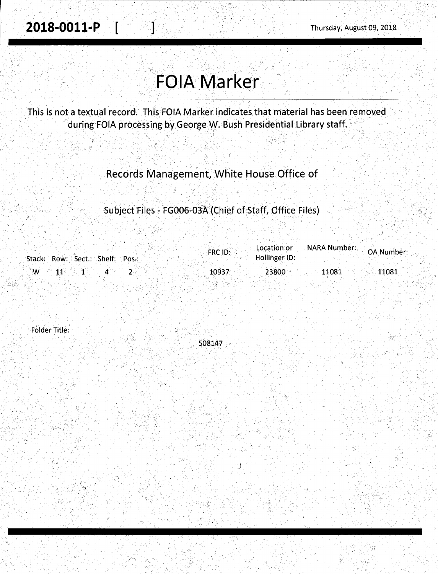. **2018-0011-P** . [ J··· Thursday; August *09;* 2018.

·,\_ ,' '· ,\_ ; ' ' ·'

## **FOIA Marker** ,• : '. •' ' ·\_, \_\_ . ' ': - - .- - ·,. *':* .. ,,- ''. - - -. -~·- *:-.\_-..* ..:\_:. ' - . \_· - .··\_· - ·:- ' - : \_,\_ - ; .\_

This is not a textual record. This FOIA Marker indicates that material has been removed during FOIA processing by George W. Bush Presidential Library staff.

Records Management, White House Office of

. . - . -

- 아프리 : 1990 - 1991 - 1992년부터 2008년 - 1992년 - 1992년 Subject Files - FG006-03A (Chief of Staff, Office Files)

|    |                  |                                 | FRC ID: | Location or   |       |       |  |
|----|------------------|---------------------------------|---------|---------------|-------|-------|--|
|    |                  | Stack: Row: Sect.: Shelf: Pos.: |         | Hollinger ID: |       |       |  |
|    |                  |                                 |         |               |       |       |  |
| ື™ | $\sim$ 11 $\sim$ |                                 | 10937   | 23800         | 11081 | 11081 |  |
|    |                  |                                 |         |               |       |       |  |

Folder Title:

508147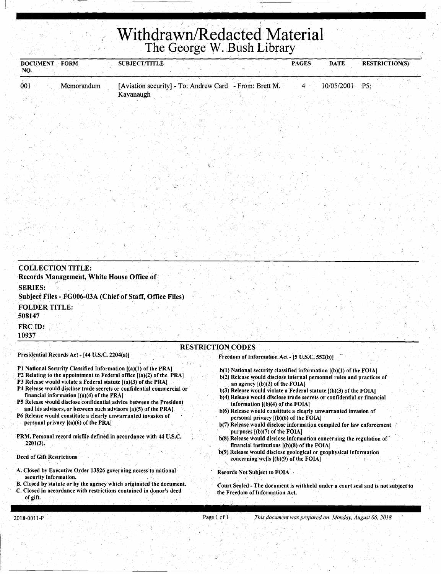## 1 **Withdrawn/Redacted Material**  The George W. Bush Library

| DOCUMENT FORM<br>NO.                     |                                                                                          | <b>SUBJECT/TITLE</b>                                                                                                                                                                                                                                                                                                                                                                                                                                                                                  |                                                                                                                                                                                                                                                                                                                                                                                                                                                                                                                                                                                                 | <b>PAGES</b> | <b>DATE</b>      | <b>RESTRICTION(S)</b> |
|------------------------------------------|------------------------------------------------------------------------------------------|-------------------------------------------------------------------------------------------------------------------------------------------------------------------------------------------------------------------------------------------------------------------------------------------------------------------------------------------------------------------------------------------------------------------------------------------------------------------------------------------------------|-------------------------------------------------------------------------------------------------------------------------------------------------------------------------------------------------------------------------------------------------------------------------------------------------------------------------------------------------------------------------------------------------------------------------------------------------------------------------------------------------------------------------------------------------------------------------------------------------|--------------|------------------|-----------------------|
| 001                                      | Memorandum                                                                               | [Aviation security] - To: Andrew Card - From: Brett M.<br>Kavanaugh                                                                                                                                                                                                                                                                                                                                                                                                                                   |                                                                                                                                                                                                                                                                                                                                                                                                                                                                                                                                                                                                 | $4 -$        | $10/05/2001$ P5; |                       |
|                                          |                                                                                          |                                                                                                                                                                                                                                                                                                                                                                                                                                                                                                       |                                                                                                                                                                                                                                                                                                                                                                                                                                                                                                                                                                                                 |              |                  |                       |
|                                          |                                                                                          |                                                                                                                                                                                                                                                                                                                                                                                                                                                                                                       |                                                                                                                                                                                                                                                                                                                                                                                                                                                                                                                                                                                                 |              |                  |                       |
|                                          |                                                                                          |                                                                                                                                                                                                                                                                                                                                                                                                                                                                                                       |                                                                                                                                                                                                                                                                                                                                                                                                                                                                                                                                                                                                 |              |                  |                       |
| <b>COLLECTION TITLE:</b>                 |                                                                                          |                                                                                                                                                                                                                                                                                                                                                                                                                                                                                                       |                                                                                                                                                                                                                                                                                                                                                                                                                                                                                                                                                                                                 |              |                  |                       |
|                                          | Records Management, White House Office of                                                |                                                                                                                                                                                                                                                                                                                                                                                                                                                                                                       |                                                                                                                                                                                                                                                                                                                                                                                                                                                                                                                                                                                                 |              |                  |                       |
| <b>SERIES:</b>                           |                                                                                          | Subject Files - FG006-03A (Chief of Staff, Office Files)                                                                                                                                                                                                                                                                                                                                                                                                                                              |                                                                                                                                                                                                                                                                                                                                                                                                                                                                                                                                                                                                 |              |                  |                       |
| <b>FOLDER TITLE:</b><br>508147           |                                                                                          |                                                                                                                                                                                                                                                                                                                                                                                                                                                                                                       |                                                                                                                                                                                                                                                                                                                                                                                                                                                                                                                                                                                                 |              |                  |                       |
| FRC ID:<br>10937                         |                                                                                          |                                                                                                                                                                                                                                                                                                                                                                                                                                                                                                       |                                                                                                                                                                                                                                                                                                                                                                                                                                                                                                                                                                                                 |              |                  |                       |
|                                          |                                                                                          |                                                                                                                                                                                                                                                                                                                                                                                                                                                                                                       | <b>RESTRICTION CODES</b>                                                                                                                                                                                                                                                                                                                                                                                                                                                                                                                                                                        |              |                  |                       |
|                                          | Presidential Records Act - [44 U.S.C. 2204(a)]                                           |                                                                                                                                                                                                                                                                                                                                                                                                                                                                                                       | Freedom of Information Act - [5 U.S.C. 552(b)]                                                                                                                                                                                                                                                                                                                                                                                                                                                                                                                                                  |              |                  |                       |
|                                          | financial information $[(a)(4)$ of the PRA]<br>personal privacy $[(a)(6)$ of the PRA $]$ | P1 National Security Classified Information [(a)(1) of the PRA]<br>P2 Relating to the appointment to Federal office $[(a)(2)$ of the PRA<br>P3 Release would violate a Federal statute $[(a)(3)$ of the PRA $]$ .<br>P4 Release would disclose trade secrets or confidential commercial or<br>P5 Release would disclose confidential advice between the President<br>and his advisors, or between such advisors $[a](5)$ of the PRA.<br>P6 Release would constitute a clearly unwarranted invasion of | b(1) National security classified information [(b)(1) of the FOIA]<br>b(2) Release would disclose internal personnel rules and practices of<br>an agency $[(b)(2)$ of the FOIA]<br>$b(3)$ Release would violate a Federal statute $(6)(3)$ of the FOIA]<br>b(4) Release would disclose trade secrets or confidential or financial<br>information $[(b)(4)$ of the FOIA]<br>b(6) Release would constitute a clearly unwarranted invasion of<br>personal privacy $[(b)(6)$ of the FOIA<br>b(7) Release would disclose information compiled for law enforcement<br>purposes $[(b)(7)$ of the FOIA] |              |                  |                       |
| $2201(3)$ .<br>Deed of Gift Restrictions |                                                                                          | PRM. Personal record misfile defined in accordance with 44 U.S.C.                                                                                                                                                                                                                                                                                                                                                                                                                                     | b(8) Release would disclose information concerning the regulation of<br>financial institutions $[(b)(8)$ of the FOIA]<br>b(9) Release would disclose geological or geophysical information<br>concerning wells [(b)(9) of the FOIA]                                                                                                                                                                                                                                                                                                                                                             |              |                  |                       |

- A. Closed by Executive Order 13526 governing access to national security information.
- B. Closed by statute or by the agency which originated the document. C. Closed in accordance with restrictions contained in donor's deed of gift.
- 

Records Not Subject to FOIA

Court Sealed -The document is withheld under a court seal and js not subject to the Freedom of Information Act.

Page 1 of 1 **This document was prepared on Monday, August 06, 2018** 

(